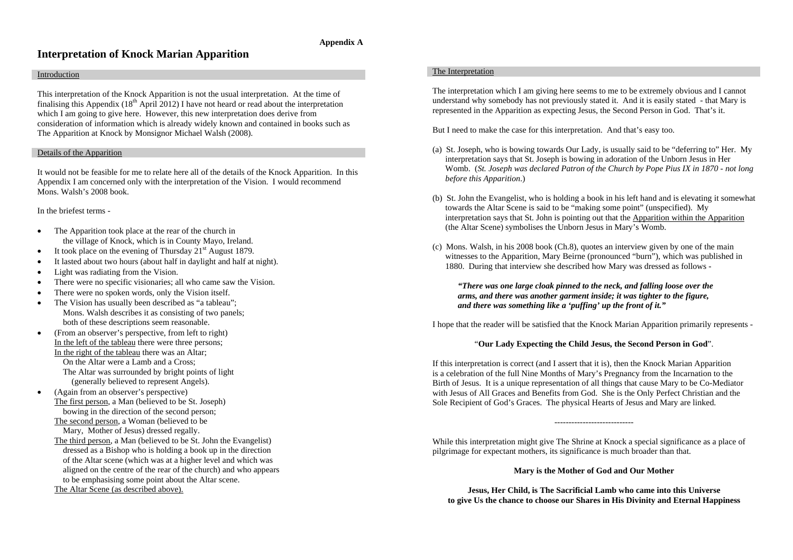### **Appendix A**

## **Interpretation of Knock Marian Apparition**

#### Introduction

This interpretation of the Knock Apparition is not the usual interpretation. At the time of finalising this Appendix  $(18<sup>th</sup>$  April 2012) I have not heard or read about the interpretation which I am going to give here. However, this new interpretation does derive from consideration of information which is already widely known and contained in books such as The Apparition at Knock by Monsignor Michael Walsh (2008).

#### Details of the Apparition

It would not be feasible for me to relate here all of the details of the Knock Apparition. In this Appendix I am concerned only with the interpretation of the Vision. I would recommend Mons. Walsh's 2008 book.

In the briefest terms -

- • The Apparition took place at the rear of the church in the village of Knock, which is in County Mayo, Ireland.
- •It took place on the evening of Thursday  $21<sup>st</sup>$  August 1879.
- •It lasted about two hours (about half in daylight and half at night).
- •Light was radiating from the Vision.
- •There were no specific visionaries; all who came saw the Vision.
- •There were no spoken words, only the Vision itself.
- • The Vision has usually been described as "a tableau"; Mons. Walsh describes it as consisting of two panels; both of these descriptions seem reasonable.
- • (From an observer's perspective, from left to right) In the left of the tableau there were three persons; In the right of the tableau there was an Altar; On the Altar were a Lamb and a Cross; The Altar was surrounded by bright points of light (generally believed to represent Angels).
- • (Again from an observer's perspective) The first person, a Man (believed to be St. Joseph) bowing in the direction of the second person;

The second person, a Woman (believed to be Mary, Mother of Jesus) dressed regally.

The third person, a Man (believed to be St. John the Evangelist) dressed as a Bishop who is holding a book up in the direction of the Altar scene (which was at a higher level and which was aligned on the centre of the rear of the church) and who appears to be emphasising some point about the Altar scene.

The Altar Scene (as described above).

#### The Interpretation

The interpretation which I am giving here seems to me to be extremely obvious and I cannot understand why somebody has not previously stated it. And it is easily stated - that Mary is represented in the Apparition as expecting Jesus, the Second Person in God. That's it.

But I need to make the case for this interpretation. And that's easy too.

- (a) St. Joseph, who is bowing towards Our Lady, is usually said to be "deferring to" Her. My interpretation says that St. Joseph is bowing in adoration of the Unborn Jesus in Her Womb. (*St. Joseph was declared Patron of the Church by Pope Pius IX in 1870 - not long before this Apparition*.)
- (b) St. John the Evangelist, who is holding a book in his left hand and is elevating it somewhat towards the Altar Scene is said to be "making some point" (unspecified). My interpretation says that St. John is pointing out that the Apparition within the Apparition (the Altar Scene) symbolises the Unborn Jesus in Mary's Womb.
- (c) Mons. Walsh, in his 2008 book (Ch.8), quotes an interview given by one of the main witnesses to the Apparition, Mary Beirne (pronounced "burn"), which was published in 1880. During that interview she described how Mary was dressed as follows -

#### *"There was one large cloak pinned to the neck, and falling loose over the arms, and there was another garment inside; it was tighter to the figure, and there was something like a 'puffing' up the front of it."*

I hope that the reader will be satisfied that the Knock Marian Apparition primarily represents -

#### "**Our Lady Expecting the Child Jesus, the Second Person in God**".

If this interpretation is correct (and I assert that it is), then the Knock Marian Apparition is a celebration of the full Nine Months of Mary's Pregnancy from the Incarnation to the Birth of Jesus. It is a unique representation of all things that cause Mary to be Co-Mediator with Jesus of All Graces and Benefits from God. She is the Only Perfect Christian and the Sole Recipient of God's Graces. The physical Hearts of Jesus and Mary are linked.

While this interpretation might give The Shrine at Knock a special significance as a place of pilgrimage for expectant mothers, its significance is much broader than that.

**Mary is the Mother of God and Our Mother**

**Jesus, Her Child, is The Sacrificial Lamb who came into this Universe to give Us the chance to choose our Shares in His Divinity and Eternal Happiness**